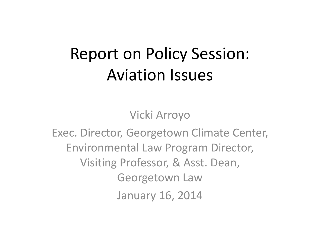## Report on Policy Session: Aviation Issues

Vicki Arroyo

Exec. Director, Georgetown Climate Center, Environmental Law Program Director, Visiting Professor, & Asst. Dean, Georgetown Law January 16, 2014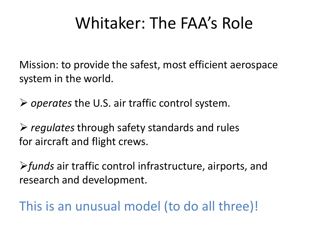## Whitaker: The FAA's Role

Mission: to provide the safest, most efficient aerospace system in the world.

*operates* the U.S. air traffic control system.

 *regulates* through safety standards and rules for aircraft and flight crews.

*funds* air traffic control infrastructure, airports, and research and development.

This is an unusual model (to do all three)!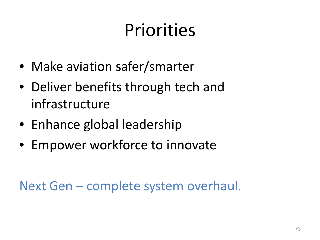# Priorities

- Make aviation safer/smarter
- Deliver benefits through tech and infrastructure
- Enhance global leadership
- Empower workforce to innovate

Next Gen – complete system overhaul.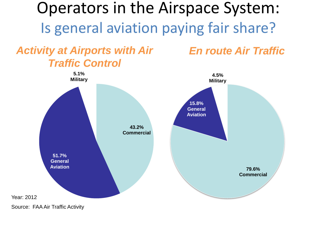Operators in the Airspace System: Is general aviation paying fair share?

*Activity at Airports with Air Traffic Control*

*En route Air Traffic*



Source: FAA Air Traffic Activity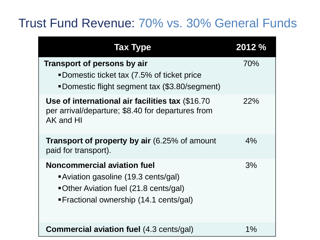### Trust Fund Revenue: 70% vs. 30% General Funds

| <b>Tax Type</b>                                                                                                                                              | 2012 % |
|--------------------------------------------------------------------------------------------------------------------------------------------------------------|--------|
| <b>Transport of persons by air</b><br>■Domestic ticket tax (7.5% of ticket price<br>•Domestic flight segment tax (\$3.80/segment)                            | 70%    |
| Use of international air facilities tax (\$16.70)<br>per arrival/departure; \$8.40 for departures from<br>AK and HI                                          | 22%    |
| <b>Transport of property by air</b> (6.25% of amount<br>paid for transport).                                                                                 | 4%     |
| <b>Noncommercial aviation fuel</b><br>Aviation gasoline (19.3 cents/gal)<br>•Other Aviation fuel (21.8 cents/gal)<br>• Fractional ownership (14.1 cents/gal) | 3%     |
| <b>Commercial aviation fuel (4.3 cents/gal)</b>                                                                                                              | $1\%$  |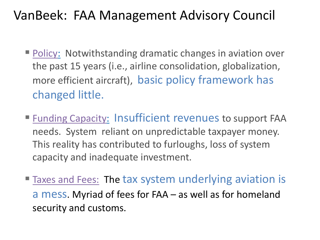### VanBeek: FAA Management Advisory Council

- Policy: Notwithstanding dramatic changes in aviation over the past 15 years (i.e., airline consolidation, globalization, more efficient aircraft), basic policy framework has changed little.
- Funding Capacity: Insufficient revenues to support FAA needs. System reliant on unpredictable taxpayer money. This reality has contributed to furloughs, loss of system capacity and inadequate investment.
- **Taxes and Fees: The tax system underlying aviation is** a mess. Myriad of fees for FAA – as well as for homeland security and customs.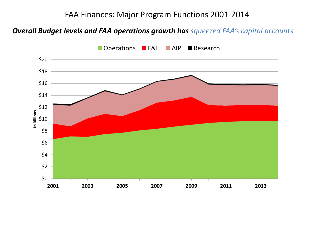#### FAA Finances: Major Program Functions 2001-2014

#### *Overall Budget levels and FAA operations growth has squeezed FAA's capital accounts*



■ Operations ■ F&E ■ AIP ■ Research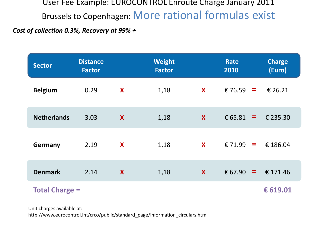User Fee Example: EUROCONTROL Enroute Charge January 2011 Brussels to Copenhagen: More rational formulas exist

*Cost of collection 0.3%, Recovery at 99% +*

| <b>Sector</b>         | <b>Distance</b><br><b>Factor</b> |   | <b>Weight</b><br><b>Factor</b> |   | Rate<br>2010        | <b>Charge</b><br>(Euro) |
|-----------------------|----------------------------------|---|--------------------------------|---|---------------------|-------------------------|
| <b>Belgium</b>        | 0.29                             | X | 1,18                           | X | €76.59<br>$\equiv$  | € 26.21                 |
| <b>Netherlands</b>    | 3.03                             | X | 1,18                           | X | € 65.81<br>$\equiv$ | € 235.30                |
| <b>Germany</b>        | 2.19                             | X | 1,18                           | X | € 71.99<br>$\equiv$ | € 186.04                |
| <b>Denmark</b>        | 2.14                             | X | 1,18                           | X | € 67.90<br>$\equiv$ | € 171.46                |
| <b>Total Charge =</b> |                                  |   |                                |   |                     | € 619.01                |

Unit charges available at:

http://www.eurocontrol.int/crco/public/standard\_page/information\_circulars.html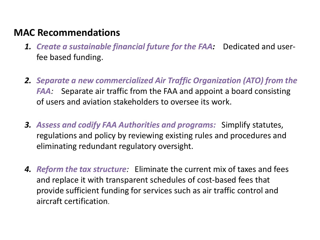#### **MAC Recommendations**

- *1. Create a sustainable financial future for the FAA:*Dedicated and userfee based funding.
- *2. Separate a new commercialized Air Traffic Organization (ATO) from the FAA:* Separate air traffic from the FAA and appoint a board consisting of users and aviation stakeholders to oversee its work.
- *3. Assess and codify FAA Authorities and programs:* Simplify statutes, regulations and policy by reviewing existing rules and procedures and eliminating redundant regulatory oversight.
- *4. Reform the tax structure:* Eliminate the current mix of taxes and fees and replace it with transparent schedules of cost-based fees that provide sufficient funding for services such as air traffic control and aircraft certification.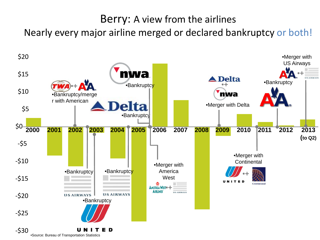#### Berry: A view from the airlines

Nearly every major airline merged or declared bankruptcy or both!

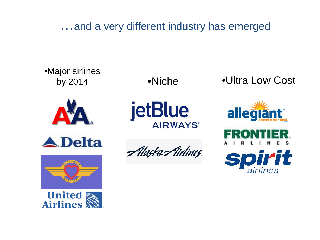…and a very different industry has emerged

•Major airlines •Niche •Ultra Low Cost by 2014 jetBlue allegiant **AIRWAYS® A**Delta Alayka Airliney

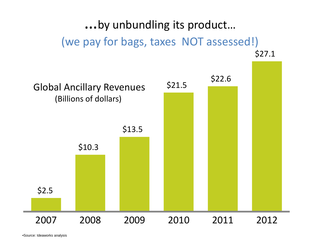…by unbundling its product… (we pay for bags, taxes NOT assessed!)



•Source: Ideaworks analysis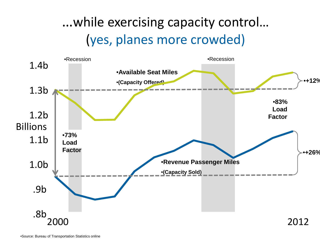## …while exercising capacity control… (yes, planes more crowded)

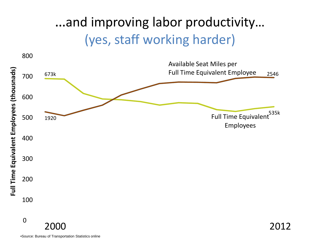### …and improving labor productivity… (yes, staff working harder)



•Source: Bureau of Transportation Statistics online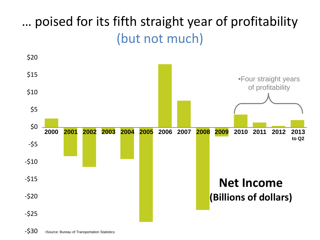## … poised for its fifth straight year of profitability (but not much)

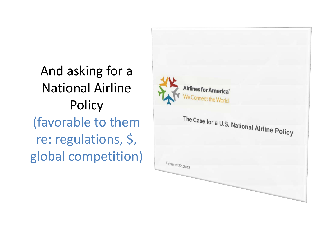And asking for a National Airline **Policy** (favorable to them re: regulations, \$, global competition)

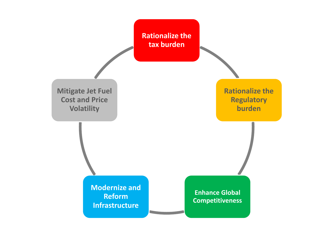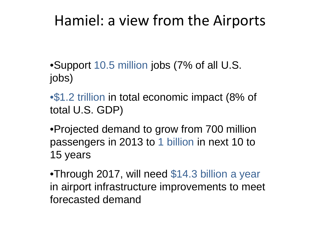## Hamiel: a view from the Airports

- •Support 10.5 million jobs (7% of all U.S. jobs)
- •\$1.2 trillion in total economic impact (8% of total U.S. GDP)
- •Projected demand to grow from 700 million passengers in 2013 to 1 billion in next 10 to 15 years
- •Through 2017, will need \$14.3 billion a year in airport infrastructure improvements to meet forecasted demand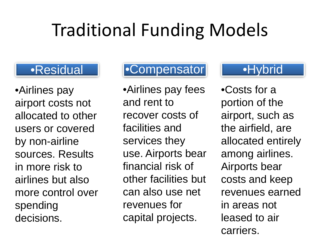## Traditional Funding Models

### •Residual

•Airlines pay airport costs not allocated to other users or covered by non-airline sources. Results in more risk to airlines but also more control over spending decisions.

### •Compensator

•Airlines pay fees and rent to recover costs of facilities and services they use. Airports bear financial risk of other facilities but can also use net revenues for capital projects.

### •Hybrid

•Costs for a portion of the airport, such as the airfield, are allocated entirely among airlines. Airports bear costs and keep revenues earned in areas not leased to air carriers.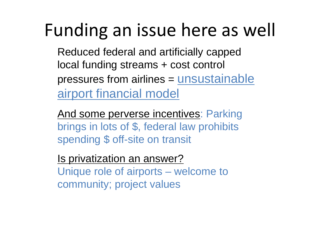## Funding an issue here as well

Reduced federal and artificially capped local funding streams + cost control pressures from airlines = unsustainable airport financial model

And some perverse incentives: Parking brings in lots of \$, federal law prohibits spending \$ off-site on transit

Is privatization an answer? Unique role of airports – welcome to community; project values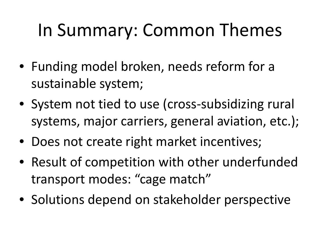## In Summary: Common Themes

- Funding model broken, needs reform for a sustainable system;
- System not tied to use (cross-subsidizing rural systems, major carriers, general aviation, etc.);
- Does not create right market incentives;
- Result of competition with other underfunded transport modes: "cage match"
- Solutions depend on stakeholder perspective